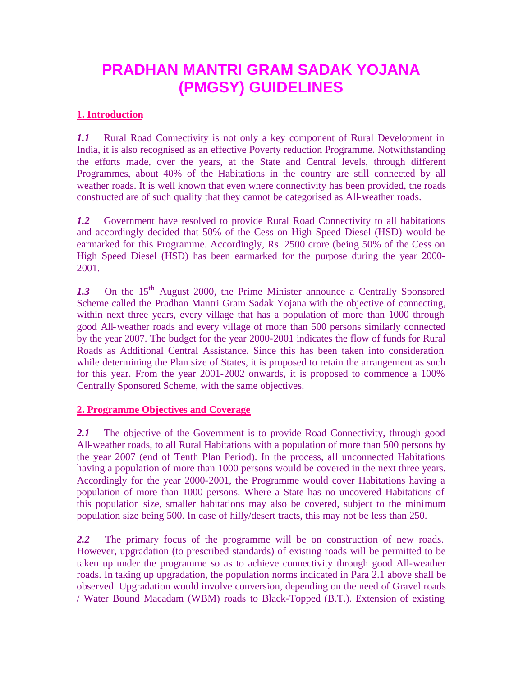# **PRADHAN MANTRI GRAM SADAK YOJANA (PMGSY) GUIDELINES**

# **1. Introduction**

*1.1* Rural Road Connectivity is not only a key component of Rural Development in India, it is also recognised as an effective Poverty reduction Programme. Notwithstanding the efforts made, over the years, at the State and Central levels, through different Programmes, about 40% of the Habitations in the country are still connected by all weather roads. It is well known that even where connectivity has been provided, the roads constructed are of such quality that they cannot be categorised as All-weather roads.

*1.2* Government have resolved to provide Rural Road Connectivity to all habitations and accordingly decided that 50% of the Cess on High Speed Diesel (HSD) would be earmarked for this Programme. Accordingly, Rs. 2500 crore (being 50% of the Cess on High Speed Diesel (HSD) has been earmarked for the purpose during the year 2000- 2001.

1.3 On the 15<sup>th</sup> August 2000, the Prime Minister announce a Centrally Sponsored Scheme called the Pradhan Mantri Gram Sadak Yojana with the objective of connecting, within next three years, every village that has a population of more than 1000 through good All-weather roads and every village of more than 500 persons similarly connected by the year 2007. The budget for the year 2000-2001 indicates the flow of funds for Rural Roads as Additional Central Assistance. Since this has been taken into consideration while determining the Plan size of States, it is proposed to retain the arrangement as such for this year. From the year 2001-2002 onwards, it is proposed to commence a 100% Centrally Sponsored Scheme, with the same objectives.

#### **2. Programme Objectives and Coverage**

2.1 The objective of the Government is to provide Road Connectivity, through good All-weather roads, to all Rural Habitations with a population of more than 500 persons by the year 2007 (end of Tenth Plan Period). In the process, all unconnected Habitations having a population of more than 1000 persons would be covered in the next three years. Accordingly for the year 2000-2001, the Programme would cover Habitations having a population of more than 1000 persons. Where a State has no uncovered Habitations of this population size, smaller habitations may also be covered, subject to the minimum population size being 500. In case of hilly/desert tracts, this may not be less than 250.

*2.2* The primary focus of the programme will be on construction of new roads. However, upgradation (to prescribed standards) of existing roads will be permitted to be taken up under the programme so as to achieve connectivity through good All-weather roads. In taking up upgradation, the population norms indicated in Para 2.1 above shall be observed. Upgradation would involve conversion, depending on the need of Gravel roads / Water Bound Macadam (WBM) roads to Black-Topped (B.T.). Extension of existing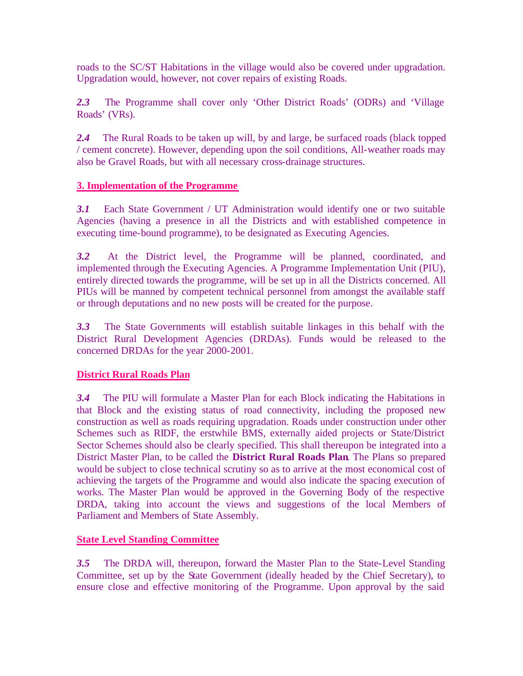roads to the SC/ST Habitations in the village would also be covered under upgradation. Upgradation would, however, not cover repairs of existing Roads.

*2.3* The Programme shall cover only 'Other District Roads' (ODRs) and 'Village Roads' (VRs).

*2.4* The Rural Roads to be taken up will, by and large, be surfaced roads (black topped / cement concrete). However, depending upon the soil conditions, All-weather roads may also be Gravel Roads, but with all necessary cross-drainage structures.

# **3. Implementation of the Programme**

*3.1* Each State Government / UT Administration would identify one or two suitable Agencies (having a presence in all the Districts and with established competence in executing time-bound programme), to be designated as Executing Agencies.

*3.2* At the District level, the Programme will be planned, coordinated, and implemented through the Executing Agencies. A Programme Implementation Unit (PIU), entirely directed towards the programme, will be set up in all the Districts concerned. All PIUs will be manned by competent technical personnel from amongst the available staff or through deputations and no new posts will be created for the purpose.

*3.3* The State Governments will establish suitable linkages in this behalf with the District Rural Development Agencies (DRDAs). Funds would be released to the concerned DRDAs for the year 2000-2001.

# **District Rural Roads Plan**

*3.4* The PIU will formulate a Master Plan for each Block indicating the Habitations in that Block and the existing status of road connectivity, including the proposed new construction as well as roads requiring upgradation. Roads under construction under other Schemes such as RIDF, the erstwhile BMS, externally aided projects or State/District Sector Schemes should also be clearly specified. This shall thereupon be integrated into a District Master Plan, to be called the **District Rural Roads Plan**. The Plans so prepared would be subject to close technical scrutiny so as to arrive at the most economical cost of achieving the targets of the Programme and would also indicate the spacing execution of works. The Master Plan would be approved in the Governing Body of the respective DRDA, taking into account the views and suggestions of the local Members of Parliament and Members of State Assembly.

#### **State Level Standing Committee**

*3.5* The DRDA will, thereupon, forward the Master Plan to the State-Level Standing Committee, set up by the State Government (ideally headed by the Chief Secretary), to ensure close and effective monitoring of the Programme. Upon approval by the said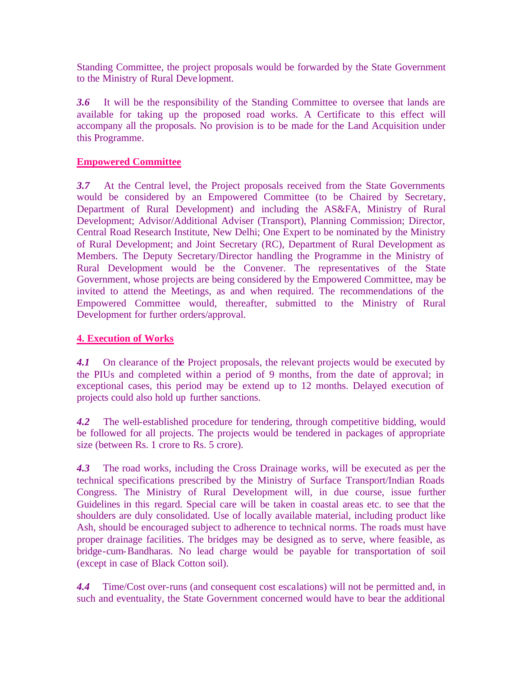Standing Committee, the project proposals would be forwarded by the State Government to the Ministry of Rural Deve lopment.

*3.6* It will be the responsibility of the Standing Committee to oversee that lands are available for taking up the proposed road works. A Certificate to this effect will accompany all the proposals. No provision is to be made for the Land Acquisition under this Programme.

#### **Empowered Committee**

*3.7* At the Central level, the Project proposals received from the State Governments would be considered by an Empowered Committee (to be Chaired by Secretary, Department of Rural Development) and including the AS&FA, Ministry of Rural Development; Advisor/Additional Adviser (Transport), Planning Commission; Director, Central Road Research Institute, New Delhi; One Expert to be nominated by the Ministry of Rural Development; and Joint Secretary (RC), Department of Rural Development as Members. The Deputy Secretary/Director handling the Programme in the Ministry of Rural Development would be the Convener. The representatives of the State Government, whose projects are being considered by the Empowered Committee, may be invited to attend the Meetings, as and when required. The recommendations of the Empowered Committee would, thereafter, submitted to the Ministry of Rural Development for further orders/approval.

#### **4. Execution of Works**

4.1 On clearance of the Project proposals, the relevant projects would be executed by the PIUs and completed within a period of 9 months, from the date of approval; in exceptional cases, this period may be extend up to 12 months. Delayed execution of projects could also hold up further sanctions.

*4.2* The well-established procedure for tendering, through competitive bidding, would be followed for all projects. The projects would be tendered in packages of appropriate size (between Rs. 1 crore to Rs. 5 crore).

*4.3* The road works, including the Cross Drainage works, will be executed as per the technical specifications prescribed by the Ministry of Surface Transport/Indian Roads Congress. The Ministry of Rural Development will, in due course, issue further Guidelines in this regard. Special care will be taken in coastal areas etc. to see that the shoulders are duly consolidated. Use of locally available material, including product like Ash, should be encouraged subject to adherence to technical norms. The roads must have proper drainage facilities. The bridges may be designed as to serve, where feasible, as bridge-cum-Bandharas. No lead charge would be payable for transportation of soil (except in case of Black Cotton soil).

*4.4* Time/Cost over-runs (and consequent cost escalations) will not be permitted and, in such and eventuality, the State Government concerned would have to bear the additional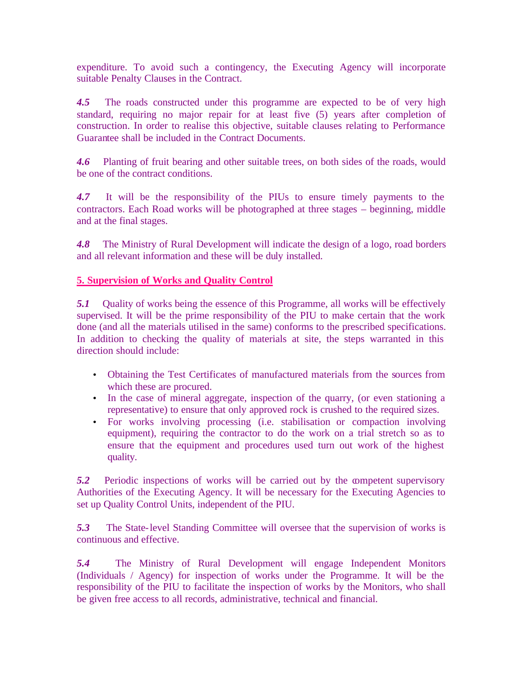expenditure. To avoid such a contingency, the Executing Agency will incorporate suitable Penalty Clauses in the Contract.

*4.5* The roads constructed under this programme are expected to be of very high standard, requiring no major repair for at least five (5) years after completion of construction. In order to realise this objective, suitable clauses relating to Performance Guarantee shall be included in the Contract Documents.

*4.6* Planting of fruit bearing and other suitable trees, on both sides of the roads, would be one of the contract conditions.

*4.7* It will be the responsibility of the PIUs to ensure timely payments to the contractors. Each Road works will be photographed at three stages – beginning, middle and at the final stages.

*4.8* The Ministry of Rural Development will indicate the design of a logo, road borders and all relevant information and these will be duly installed.

#### **5. Supervision of Works and Quality Control**

*5.1* Quality of works being the essence of this Programme, all works will be effectively supervised. It will be the prime responsibility of the PIU to make certain that the work done (and all the materials utilised in the same) conforms to the prescribed specifications. In addition to checking the quality of materials at site, the steps warranted in this direction should include:

- Obtaining the Test Certificates of manufactured materials from the sources from which these are procured.
- In the case of mineral aggregate, inspection of the quarry, (or even stationing a representative) to ensure that only approved rock is crushed to the required sizes.
- For works involving processing (i.e. stabilisation or compaction involving equipment), requiring the contractor to do the work on a trial stretch so as to ensure that the equipment and procedures used turn out work of the highest quality.

**5.2** Periodic inspections of works will be carried out by the competent supervisory Authorities of the Executing Agency. It will be necessary for the Executing Agencies to set up Quality Control Units, independent of the PIU.

*5.3* The State-level Standing Committee will oversee that the supervision of works is continuous and effective.

*5.4* The Ministry of Rural Development will engage Independent Monitors (Individuals / Agency) for inspection of works under the Programme. It will be the responsibility of the PIU to facilitate the inspection of works by the Monitors, who shall be given free access to all records, administrative, technical and financial.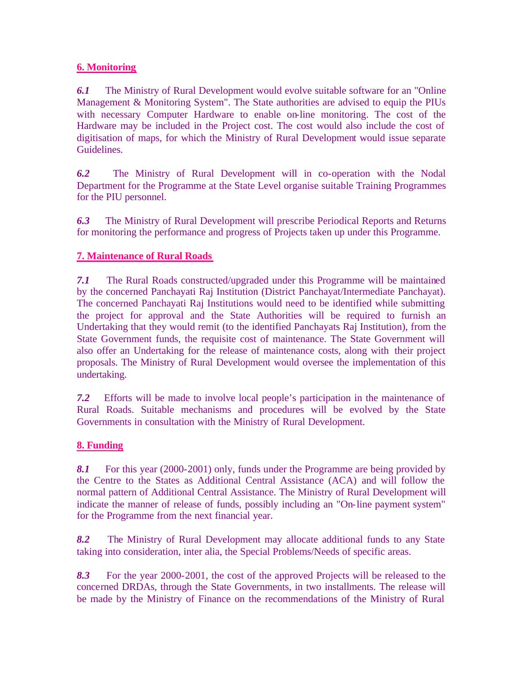# **6. Monitoring**

*6.1* The Ministry of Rural Development would evolve suitable software for an "Online Management & Monitoring System". The State authorities are advised to equip the PIUs with necessary Computer Hardware to enable on-line monitoring. The cost of the Hardware may be included in the Project cost. The cost would also include the cost of digitisation of maps, for which the Ministry of Rural Development would issue separate Guidelines.

*6.2* The Ministry of Rural Development will in co-operation with the Nodal Department for the Programme at the State Level organise suitable Training Programmes for the PIU personnel.

*6.3* The Ministry of Rural Development will prescribe Periodical Reports and Returns for monitoring the performance and progress of Projects taken up under this Programme.

# **7. Maintenance of Rural Roads**

*7.1* The Rural Roads constructed/upgraded under this Programme will be maintained by the concerned Panchayati Raj Institution (District Panchayat/Intermediate Panchayat). The concerned Panchayati Raj Institutions would need to be identified while submitting the project for approval and the State Authorities will be required to furnish an Undertaking that they would remit (to the identified Panchayats Raj Institution), from the State Government funds, the requisite cost of maintenance. The State Government will also offer an Undertaking for the release of maintenance costs, along with their project proposals. The Ministry of Rural Development would oversee the implementation of this undertaking.

*7.2* Efforts will be made to involve local people's participation in the maintenance of Rural Roads. Suitable mechanisms and procedures will be evolved by the State Governments in consultation with the Ministry of Rural Development.

#### **8. Funding**

*8.1* For this year (2000-2001) only, funds under the Programme are being provided by the Centre to the States as Additional Central Assistance (ACA) and will follow the normal pattern of Additional Central Assistance. The Ministry of Rural Development will indicate the manner of release of funds, possibly including an "On-line payment system" for the Programme from the next financial year.

*8.2* The Ministry of Rural Development may allocate additional funds to any State taking into consideration, inter alia, the Special Problems/Needs of specific areas.

*8.3* For the year 2000-2001, the cost of the approved Projects will be released to the concerned DRDAs, through the State Governments, in two installments. The release will be made by the Ministry of Finance on the recommendations of the Ministry of Rural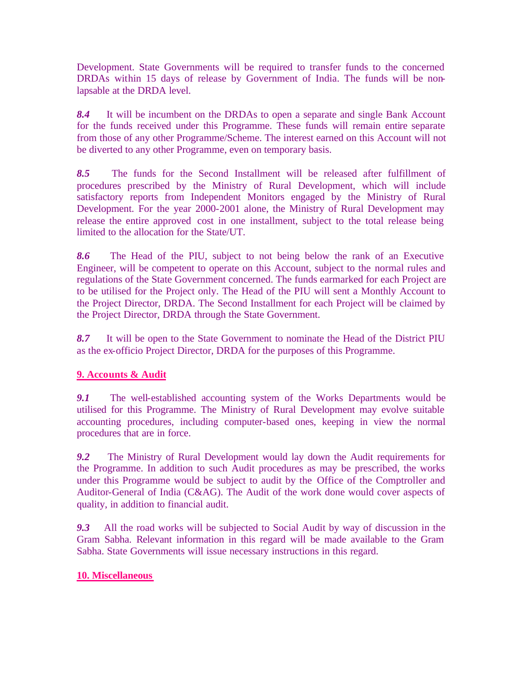Development. State Governments will be required to transfer funds to the concerned DRDAs within 15 days of release by Government of India. The funds will be nonlapsable at the DRDA level.

*8.4* It will be incumbent on the DRDAs to open a separate and single Bank Account for the funds received under this Programme. These funds will remain entire separate from those of any other Programme/Scheme. The interest earned on this Account will not be diverted to any other Programme, even on temporary basis.

*8.5* The funds for the Second Installment will be released after fulfillment of procedures prescribed by the Ministry of Rural Development, which will include satisfactory reports from Independent Monitors engaged by the Ministry of Rural Development. For the year 2000-2001 alone, the Ministry of Rural Development may release the entire approved cost in one installment, subject to the total release being limited to the allocation for the State/UT.

*8.6* The Head of the PIU, subject to not being below the rank of an Executive Engineer, will be competent to operate on this Account, subject to the normal rules and regulations of the State Government concerned. The funds earmarked for each Project are to be utilised for the Project only. The Head of the PIU will sent a Monthly Account to the Project Director, DRDA. The Second Installment for each Project will be claimed by the Project Director, DRDA through the State Government.

*8.7* It will be open to the State Government to nominate the Head of the District PIU as the ex-officio Project Director, DRDA for the purposes of this Programme.

#### **9. Accounts & Audit**

*9.1* The well-established accounting system of the Works Departments would be utilised for this Programme. The Ministry of Rural Development may evolve suitable accounting procedures, including computer-based ones, keeping in view the normal procedures that are in force.

*9.2* The Ministry of Rural Development would lay down the Audit requirements for the Programme. In addition to such Audit procedures as may be prescribed, the works under this Programme would be subject to audit by the Office of the Comptroller and Auditor-General of India (C&AG). The Audit of the work done would cover aspects of quality, in addition to financial audit.

*9.3* All the road works will be subjected to Social Audit by way of discussion in the Gram Sabha. Relevant information in this regard will be made available to the Gram Sabha. State Governments will issue necessary instructions in this regard.

#### **10. Miscellaneous**